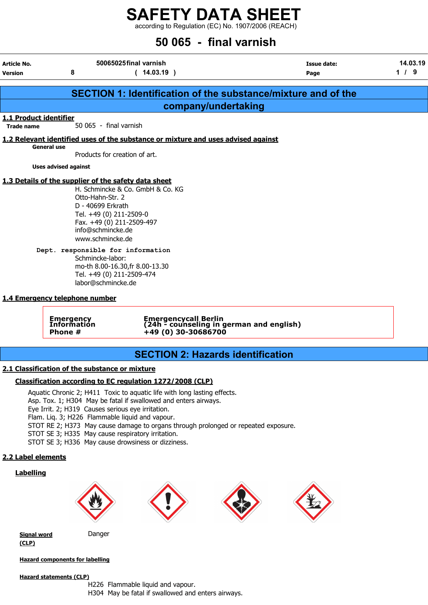according to Regulation (EC) No. 1907/2006 (REACH)

# 50 065 - final varnish

| Article No.<br>Version                                                                                                                                                                                                                                                                                                                                                            | 8                                   | 50065025final varnish<br>(14.03.19)                                                     | Issue date:<br>Page                                                  | 14.03.19<br>$1/9$ |  |  |  |  |  |
|-----------------------------------------------------------------------------------------------------------------------------------------------------------------------------------------------------------------------------------------------------------------------------------------------------------------------------------------------------------------------------------|-------------------------------------|-----------------------------------------------------------------------------------------|----------------------------------------------------------------------|-------------------|--|--|--|--|--|
|                                                                                                                                                                                                                                                                                                                                                                                   |                                     |                                                                                         |                                                                      |                   |  |  |  |  |  |
|                                                                                                                                                                                                                                                                                                                                                                                   |                                     |                                                                                         | <b>SECTION 1: Identification of the substance/mixture and of the</b> |                   |  |  |  |  |  |
|                                                                                                                                                                                                                                                                                                                                                                                   |                                     | company/undertaking                                                                     |                                                                      |                   |  |  |  |  |  |
| 1.1 Product identifier<br><b>Trade name</b>                                                                                                                                                                                                                                                                                                                                       | 50 065 - final varnish              |                                                                                         |                                                                      |                   |  |  |  |  |  |
|                                                                                                                                                                                                                                                                                                                                                                                   |                                     | 1.2 Relevant identified uses of the substance or mixture and uses advised against       |                                                                      |                   |  |  |  |  |  |
| <b>General use</b>                                                                                                                                                                                                                                                                                                                                                                | Products for creation of art.       |                                                                                         |                                                                      |                   |  |  |  |  |  |
|                                                                                                                                                                                                                                                                                                                                                                                   | <b>Uses advised against</b>         |                                                                                         |                                                                      |                   |  |  |  |  |  |
| 1.3 Details of the supplier of the safety data sheet<br>H. Schmincke & Co. GmbH & Co. KG<br>Otto-Hahn-Str. 2<br>D - 40699 Erkrath<br>Tel. +49 (0) 211-2509-0<br>Fax. +49 (0) 211-2509-497<br>info@schmincke.de<br>www.schmincke.de<br>Dept. responsible for information<br>Schmincke-labor:<br>mo-th 8.00-16.30, fr 8.00-13.30<br>Tel. +49 (0) 211-2509-474<br>labor@schmincke.de |                                     |                                                                                         |                                                                      |                   |  |  |  |  |  |
|                                                                                                                                                                                                                                                                                                                                                                                   | 1.4 Emergency telephone number      |                                                                                         |                                                                      |                   |  |  |  |  |  |
|                                                                                                                                                                                                                                                                                                                                                                                   | Emergency<br>Information<br>Phone # | Emergencycall Berlin<br>(24h - counseling in german and english)<br>+49 (0) 30-30686700 |                                                                      |                   |  |  |  |  |  |
|                                                                                                                                                                                                                                                                                                                                                                                   |                                     | <b>SECTION 2: Hazards identification</b>                                                |                                                                      |                   |  |  |  |  |  |
|                                                                                                                                                                                                                                                                                                                                                                                   |                                     |                                                                                         |                                                                      |                   |  |  |  |  |  |

# 2.1 Classification of the substance or mixture

# Classification according to EC regulation 1272/2008 (CLP)

Aquatic Chronic 2; H411 Toxic to aquatic life with long lasting effects. Asp. Tox. 1; H304 May be fatal if swallowed and enters airways. Eye Irrit. 2; H319 Causes serious eye irritation. Flam. Liq. 3; H226 Flammable liquid and vapour. STOT RE 2; H373 May cause damage to organs through prolonged or repeated exposure. STOT SE 3; H335 May cause respiratory irritation.

STOT SE 3; H336 May cause drowsiness or dizziness.

# 2.2 Label elements

# **Labelling**



**Signal word** Danger (CLP)

Hazard components for labelling

### Hazard statements (CLP)

H226 Flammable liquid and vapour. H304 May be fatal if swallowed and enters airways.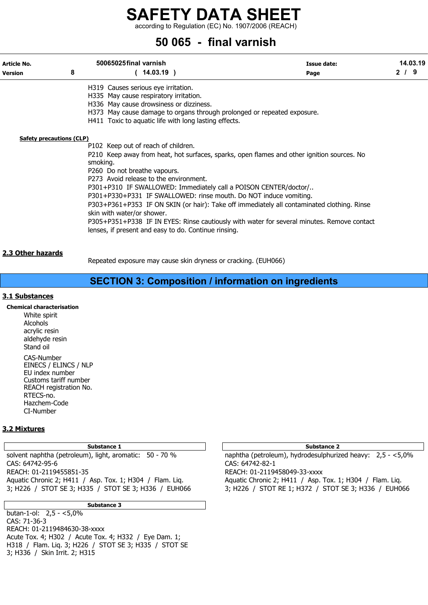according to Regulation (EC) No. 1907/2006 (REACH)

# 50 065 - final varnish

| Article No.<br><b>Version</b> | 8        | 50065025final varnish<br>$14.03.19$ )                                                                                                                                                                                                                                                                                                                                                                                                                                                                                                                                                                                                  | <b>Issue date:</b><br>Page | 14.03.19<br>2/9 |
|-------------------------------|----------|----------------------------------------------------------------------------------------------------------------------------------------------------------------------------------------------------------------------------------------------------------------------------------------------------------------------------------------------------------------------------------------------------------------------------------------------------------------------------------------------------------------------------------------------------------------------------------------------------------------------------------------|----------------------------|-----------------|
|                               |          | H319 Causes serious eye irritation.<br>H335 May cause respiratory irritation.<br>H336 May cause drowsiness or dizziness.<br>H373 May cause damage to organs through prolonged or repeated exposure.<br>H411 Toxic to aquatic life with long lasting effects.                                                                                                                                                                                                                                                                                                                                                                           |                            |                 |
| Safety precautions (CLP)      | smoking. | P102 Keep out of reach of children.<br>P210 Keep away from heat, hot surfaces, sparks, open flames and other ignition sources. No<br>P260 Do not breathe vapours.<br>P273 Avoid release to the environment.<br>P301+P310 IF SWALLOWED: Immediately call a POISON CENTER/doctor/<br>P301+P330+P331 IF SWALLOWED: rinse mouth. Do NOT induce vomiting.<br>P303+P361+P353 IF ON SKIN (or hair): Take off immediately all contaminated clothing. Rinse<br>skin with water/or shower.<br>P305+P351+P338 IF IN EYES: Rinse cautiously with water for several minutes. Remove contact<br>lenses, if present and easy to do. Continue rinsing. |                            |                 |
| 2.3 Other hazards             |          | Repeated exposure may cause skin dryness or cracking. (EUH066)                                                                                                                                                                                                                                                                                                                                                                                                                                                                                                                                                                         |                            |                 |

# SECTION 3: Composition / information on ingredients

# 3.1 Substances

Chemical characterisation White spirit Alcohols acrylic resin aldehyde resin Stand oil CAS-Number EINECS / ELINCS / NLP EU index number Customs tariff number REACH registration No. RTECS-no. Hazchem-Code CI-Number

# 3.2 Mixtures

# Substance 1 and 2 Substance 2 and 3 Substance 2 and 3 Substance 2 and 3 Substance 2 and 3 Substance 2 and 3 Substance 2

solvent naphtha (petroleum), light, aromatic: 50 - 70 % naphtha (petroleum), hydrodesulphurized heavy: 2,5 - <5,0% CAS: 64742-95-6 CAS: 64742-82-1 REACH: 01-2119455851-35<br>Aquatic Chronic 2; H411 / Asp. Tox. 1; H304 / Flam. Liq. Aquatic Chronic 2; H411 / Asp. 1 3; H226 / STOT SE 3; H335 / STOT SE 3; H336 / EUH066 3; H226 / STOT RE 1; H372 / STOT SE 3; H336 / EUH066

Substance 3

butan-1-ol: 2,5 - <5,0% CAS: 71-36-3 REACH: 01-2119484630-38-xxxx Acute Tox. 4; H302 / Acute Tox. 4; H332 / Eye Dam. 1; H318 / Flam. Liq. 3; H226 / STOT SE 3; H335 / STOT SE 3; H336 / Skin Irrit. 2; H315

Aquatic Chronic 2; H411 / Asp. Tox. 1; H304 / Flam. Liq.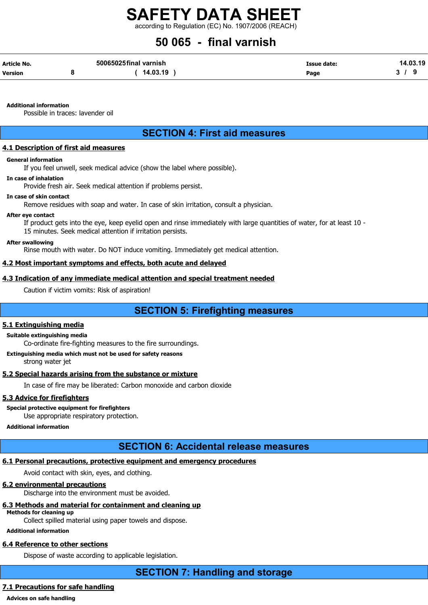according to Regulation (EC) No. 1907/2006 (REACH)

# 50 065 - final varnish

| Article No. | 50065025final varnish | Issue date: | 14.03.19 |  |  |
|-------------|-----------------------|-------------|----------|--|--|
| Version     | 14.03.19              | Page        |          |  |  |

Additional information

Possible in traces: lavender oil

# SECTION 4: First aid measures

# 4.1 Description of first aid measures

### General information

If you feel unwell, seek medical advice (show the label where possible).

## In case of inhalation

Provide fresh air. Seek medical attention if problems persist.

### In case of skin contact

Remove residues with soap and water. In case of skin irritation, consult a physician.

### After eye contact

If product gets into the eye, keep eyelid open and rinse immediately with large quantities of water, for at least 10 -

15 minutes. Seek medical attention if irritation persists.

### After swallowing

Rinse mouth with water. Do NOT induce vomiting. Immediately get medical attention.

# 4.2 Most important symptoms and effects, both acute and delayed

# 4.3 Indication of any immediate medical attention and special treatment needed

Caution if victim vomits: Risk of aspiration!

# SECTION 5: Firefighting measures

# 5.1 Extinguishing media

# Suitable extinguishing media

Co-ordinate fire-fighting measures to the fire surroundings.

# Extinguishing media which must not be used for safety reasons

strong water jet

# 5.2 Special hazards arising from the substance or mixture

In case of fire may be liberated: Carbon monoxide and carbon dioxide

# 5.3 Advice for firefighters

# Special protective equipment for firefighters

Use appropriate respiratory protection.

# Additional information

# SECTION 6: Accidental release measures

# 6.1 Personal precautions, protective equipment and emergency procedures

Avoid contact with skin, eyes, and clothing.

# 6.2 environmental precautions

Discharge into the environment must be avoided.

# 6.3 Methods and material for containment and cleaning up

# Methods for cleaning up

Collect spilled material using paper towels and dispose.

# Additional information

# 6.4 Reference to other sections

Dispose of waste according to applicable legislation.

SECTION 7: Handling and storage

# 7.1 Precautions for safe handling

Advices on safe handling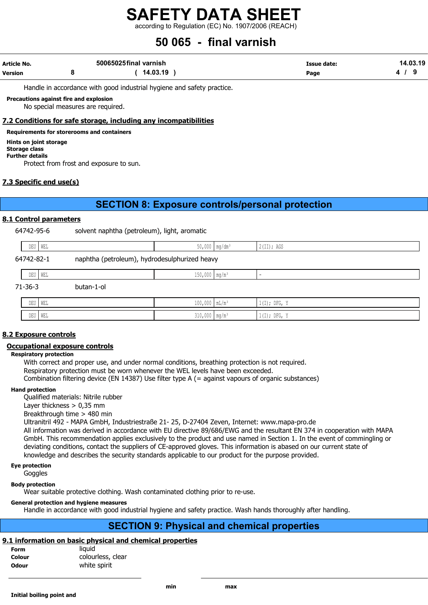according to Regulation (EC) No. 1907/2006 (REACH)

# 50 065 - final varnish

| Article No.    | 50065025final varnish | Issue date: | 14.03.19 |  |
|----------------|-----------------------|-------------|----------|--|
| <b>Version</b> | 14.03.19              | Page        |          |  |

Handle in accordance with good industrial hygiene and safety practice.

Precautions against fire and explosion

No special measures are required.

# 7.2 Conditions for safe storage, including any incompatibilities

Requirements for storerooms and containers

Hints on joint storage Storage class

Further details

Protect from frost and exposure to sun.

# 7.3 Specific end use(s)

# SECTION 8: Exposure controls/personal protection

# 8.1 Control parameters

| 64742-95-6 |         | solvent naphtha (petroleum), light, aromatic  |  |            |  |  |  |  |  |
|------------|---------|-----------------------------------------------|--|------------|--|--|--|--|--|
|            | DEU WEL | $50,000$   mg/dm <sup>3</sup>                 |  | 2(II); AGS |  |  |  |  |  |
| 64742-82-1 |         | naphtha (petroleum), hydrodesulphurized heavy |  |            |  |  |  |  |  |

|           | DEU WEL    | $150,000$ mg/m <sup>3</sup> | -              |
|-----------|------------|-----------------------------|----------------|
| $71-36-3$ | butan-1-ol |                             |                |
|           | DEU WEL    | $100,000$ $mL/m^3$          | $1(I);$ DFG, Y |
|           | DEU   WEL  | $310,000$ mg/m <sup>3</sup> | $1(I);$ DFG, Y |

# 8.2 Exposure controls

# Occupational exposure controls

### Respiratory protection

With correct and proper use, and under normal conditions, breathing protection is not required. Respiratory protection must be worn whenever the WEL levels have been exceeded. Combination filtering device (EN 14387) Use filter type A (= against vapours of organic substances)

### Hand protection

Qualified materials: Nitrile rubber

Layer thickness  $> 0.35$  mm

Breakthrough time > 480 min

Ultranitril 492 - MAPA GmbH, Industriestraße 21- 25, D-27404 Zeven, Internet: www.mapa-pro.de

All information was derived in accordance with EU directive 89/686/EWG and the resultant EN 374 in cooperation with MAPA GmbH. This recommendation applies exclusively to the product and use named in Section 1. In the event of commingling or deviating conditions, contact the suppliers of CE-approved gloves. This information is abased on our current state of knowledge and describes the security standards applicable to our product for the purpose provided.

Eye protection

**Goggles** 

Body protection

Wear suitable protective clothing. Wash contaminated clothing prior to re-use.

# General protection and hygiene measures

Handle in accordance with good industrial hygiene and safety practice. Wash hands thoroughly after handling.

# SECTION 9: Physical and chemical properties

# 9.1 information on basic physical and chemical properties

| Form         | liauid            |
|--------------|-------------------|
| Colour       | colourless, clear |
| <b>Odour</b> | white spirit      |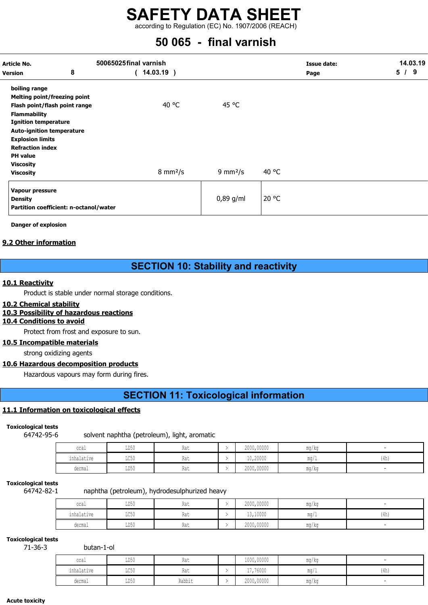according to Regulation (EC) No. 1907/2006 (REACH)

# 50 065 - final varnish

| Article No.                         |                                        | 50065025final varnish     |                           | <b>Issue date:</b> | 14.03.19 |
|-------------------------------------|----------------------------------------|---------------------------|---------------------------|--------------------|----------|
| <b>Version</b>                      | 8                                      | $14.03.19$ )              |                           | Page               | 5/9      |
| boiling range                       |                                        |                           |                           |                    |          |
| <b>Melting point/freezing point</b> |                                        |                           |                           |                    |          |
| Flash point/flash point range       |                                        | 40 °C                     | 45 °C                     |                    |          |
| <b>Flammability</b>                 |                                        |                           |                           |                    |          |
| <b>Ignition temperature</b>         |                                        |                           |                           |                    |          |
| <b>Auto-ignition temperature</b>    |                                        |                           |                           |                    |          |
| <b>Explosion limits</b>             |                                        |                           |                           |                    |          |
| <b>Refraction index</b>             |                                        |                           |                           |                    |          |
| <b>PH</b> value                     |                                        |                           |                           |                    |          |
| <b>Viscosity</b>                    |                                        |                           |                           |                    |          |
| <b>Viscosity</b>                    |                                        | $8 \text{ mm}^2/\text{s}$ | $9 \text{ mm}^2/\text{s}$ | 40 °C              |          |
| Vapour pressure                     |                                        |                           |                           |                    |          |
| <b>Density</b>                      |                                        |                           | $0,89$ g/ml               | 20 °C              |          |
|                                     | Partition coefficient: n-octanol/water |                           |                           |                    |          |

Danger of explosion

# 9.2 Other information

# SECTION 10: Stability and reactivity

# 10.1 Reactivity

Product is stable under normal storage conditions.

# 10.2 Chemical stability

# 10.3 Possibility of hazardous reactions

# 10.4 Conditions to avoid

Protect from frost and exposure to sun.

# 10.5 Incompatible materials

strong oxidizing agents

# 10.6 Hazardous decomposition products

Hazardous vapours may form during fires.

# SECTION 11: Toxicological information

# 11.1 Information on toxicological effects

Toxicological tests

64742-95-6 solvent naphtha (petroleum), light, aromatic

| oral       | LD50                            | $D = 4$<br>Kat | 2000,00000 | mg/kg |      |
|------------|---------------------------------|----------------|------------|-------|------|
| inhalative | $T \cap E \cap$<br><b>TICON</b> | De la<br>Kat   | 10,20000   | mq/L  | (4h) |
| dermal     | LD50                            | $\sim$<br>Kat  | 2000,00000 | mg/kg |      |

# Toxicological tests

64742-82-1 naphtha (petroleum), hydrodesulphurized heavy

| oral       | LD50                            | Rat | 2000,00000 | mg/kg                             |      |
|------------|---------------------------------|-----|------------|-----------------------------------|------|
| inhalative | $T \cap E \cap$<br><b>JACON</b> | Kdl | 13,10000   | mq/L                              | (4h) |
| dermal     | LD50                            | Rat | 2000,00000 | $\overline{\phantom{a}}$<br>mg/kg |      |

# Toxicological tests

71-36-3 butan-1-ol

| oral       | LD50 | $D - 4$<br>Kat | 1000,00000 | mg/kg |      |
|------------|------|----------------|------------|-------|------|
| inhalative | LC50 | Des.<br>Kat    | 17,76000   | mq/L  | (4h) |
| dermal     | LD50 | Rabbit         | 2000,00000 | mg/kg |      |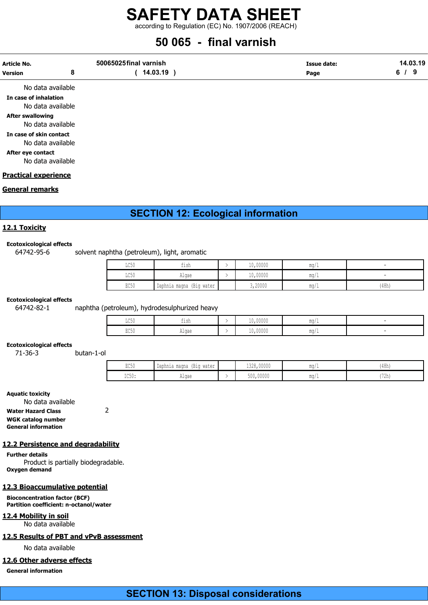according to Regulation (EC) No. 1907/2006 (REACH)

# 50 065 - final varnish

| Article No.    | 50065025final varnish | Issue date: | 14.03.19 |  |
|----------------|-----------------------|-------------|----------|--|
| <b>Version</b> | 14.03.19              | Page        |          |  |
|                |                       |             |          |  |

No data available In case of inhalation No data available After swallowing No data available In case of skin contact No data available After eye contact

No data available

## Practical experience

## General remarks

# SECTION 12: Ecological information

# 12.1 Toxicity

#### Ecotoxicological effects

# 64742-95-6 solvent naphtha (petroleum), light, aromatic

| LC50 | fish                        | 10,00000 | mq/L                 |       |
|------|-----------------------------|----------|----------------------|-------|
| LC50 | Algae                       | 10,00000 | $m \alpha$<br>IIIU/L | -     |
| EC50 | (Big water<br>Daphnia magna | 3,20000  | mq/L                 | (48h) |

#### Ecotoxicological effects

64742-82-1 naphtha (petroleum), hydrodesulphurized heavy

| TOE0<br>エレマカ            | $-1$<br>tısh | 10,00000 | $m \alpha$<br>-111.V |  |
|-------------------------|--------------|----------|----------------------|--|
| $P \cap E \cap$<br>LUJU | Alqae        | 10,00000 | $m \sim$<br>HUM/L    |  |

#### Ecotoxicological effects

71-36-3 butan-1-ol

| $m \wedge n$<br>$'$ 1 $'$<br>ロマンロ | ' Daphnia magna<br>water<br>(B10 | 1.222<br>0.0000<br>1328,00000 | $m \sim$<br>$11147 +$ | (48h)                  |
|-----------------------------------|----------------------------------|-------------------------------|-----------------------|------------------------|
| TOE A<br>エレマク・                    | Algae                            | 500,00000                     | $m \sim$<br>11147.    | $172h_1$<br>، د ۲۰۰۱ د |

### Aquatic toxicity

No data available Water Hazard Class 2 WGK catalog number General information

### 12.2 Persistence and degradability

Further details Product is partially biodegradable. Oxygen demand

### 12.3 Bioaccumulative potential

Bioconcentration factor (BCF) Partition coefficient: n-octanol/water

12.4 Mobility in soil No data available

## 12.5 Results of PBT and vPvB assessment

No data available

# 12.6 Other adverse effects

General information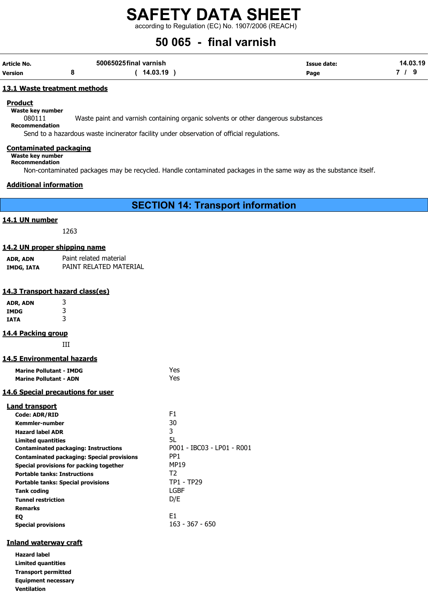according to Regulation (EC) No. 1907/2006 (REACH)

# 50 065 - final varnish

| Article No. | 50065025final varnish | Issue date: | 14.03.19 |
|-------------|-----------------------|-------------|----------|
| Version     | 14.03.19              | Page        |          |

### 13.1 Waste treatment methods

**Product** 

Waste key number

080111 Waste paint and varnish containing organic solvents or other dangerous substances

Recommendation

Send to a hazardous waste incinerator facility under observation of official regulations.

### Contaminated packaging

Waste key number Recommendation

Non-contaminated packages may be recycled. Handle contaminated packages in the same way as the substance itself.

## Additional information

SECTION 14: Transport information

## 14.1 UN number

1263

### 14.2 UN proper shipping name

| ADR, ADN   | Paint related material |
|------------|------------------------|
| IMDG, IATA | PAINT RELATED MATERIAL |

## 14.3 Transport hazard class(es)

| ADR, ADN | 3 |
|----------|---|
| IMDG     | 3 |
| IATA     | 3 |

# 14.4 Packing group

III

# 14.5 Environmental hazards

| <b>Marine Pollutant - IMDG</b> | Yes |
|--------------------------------|-----|
| <b>Marine Pollutant - ADN</b>  | Yes |

# 14.6 Special precautions for user

| <b>Land transport</b>                             |                            |
|---------------------------------------------------|----------------------------|
| <b>Code: ADR/RID</b>                              | F1                         |
| Kemmler-number                                    | 30                         |
| <b>Hazard label ADR</b>                           | 3                          |
| <b>Limited quantities</b>                         | 5L                         |
| <b>Contaminated packaging: Instructions</b>       | P001 - IBC03 - LP01 - R001 |
| <b>Contaminated packaging: Special provisions</b> | PP <sub>1</sub>            |
| Special provisions for packing together           | <b>MP19</b>                |
| <b>Portable tanks: Instructions</b>               | T <sub>2</sub>             |
| <b>Portable tanks: Special provisions</b>         | <b>TP1 - TP29</b>          |
| Tank coding                                       | LGBF                       |
| <b>Tunnel restriction</b>                         | D/E                        |
| <b>Remarks</b>                                    |                            |
| EQ                                                | E1                         |
| <b>Special provisions</b>                         | 163 - 367 - 650            |

# Inland waterway craft

Hazard label Limited quantities Transport permitted Equipment necessary Ventilation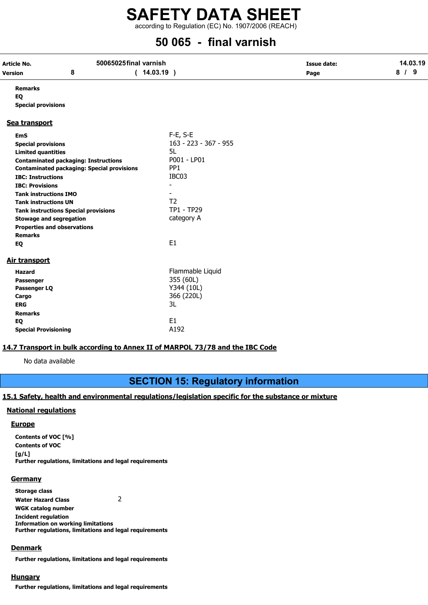according to Regulation (EC) No. 1907/2006 (REACH)

# 50 065 - final varnish

| <b>Article No.</b>           |                                                   | 50065025final varnish | <b>Issue date:</b> |     |  |
|------------------------------|---------------------------------------------------|-----------------------|--------------------|-----|--|
| <b>Version</b>               | 8                                                 | (14.03.19)            | Page               | 8/9 |  |
| <b>Remarks</b>               |                                                   |                       |                    |     |  |
| EQ                           |                                                   |                       |                    |     |  |
| <b>Special provisions</b>    |                                                   |                       |                    |     |  |
| Sea transport                |                                                   |                       |                    |     |  |
| <b>EmS</b>                   |                                                   | $F-E$ , S-E           |                    |     |  |
| <b>Special provisions</b>    |                                                   | 163 - 223 - 367 - 955 |                    |     |  |
| <b>Limited quantities</b>    |                                                   | 5L                    |                    |     |  |
|                              | <b>Contaminated packaging: Instructions</b>       | P001 - LP01           |                    |     |  |
|                              | <b>Contaminated packaging: Special provisions</b> | PP <sub>1</sub>       |                    |     |  |
| <b>IBC: Instructions</b>     |                                                   | IBC03                 |                    |     |  |
| <b>IBC: Provisions</b>       |                                                   | $\blacksquare$        |                    |     |  |
| <b>Tank instructions IMO</b> |                                                   |                       |                    |     |  |
| <b>Tank instructions UN</b>  |                                                   | T <sub>2</sub>        |                    |     |  |
|                              | <b>Tank instructions Special provisions</b>       | <b>TP1 - TP29</b>     |                    |     |  |
|                              | <b>Stowage and segregation</b>                    | category A            |                    |     |  |
|                              | <b>Properties and observations</b>                |                       |                    |     |  |
| <b>Remarks</b>               |                                                   |                       |                    |     |  |
| EQ                           |                                                   | E <sub>1</sub>        |                    |     |  |
| <b>Air transport</b>         |                                                   |                       |                    |     |  |
| <b>Hazard</b>                |                                                   | Flammable Liquid      |                    |     |  |
| Passenger                    |                                                   | 355 (60L)             |                    |     |  |
| Passenger LQ                 |                                                   | Y344 (10L)            |                    |     |  |
| Cargo                        |                                                   | 366 (220L)            |                    |     |  |
| <b>ERG</b>                   |                                                   | 3L                    |                    |     |  |
| <b>Remarks</b>               |                                                   |                       |                    |     |  |
| EQ                           |                                                   | E <sub>1</sub>        |                    |     |  |
| <b>Special Provisioning</b>  |                                                   | A192                  |                    |     |  |

# 14.7 Transport in bulk according to Annex II of MARPOL 73/78 and the IBC Code

No data available

# SECTION 15: Regulatory information

# 15.1 Safety, health and environmental regulations/legislation specific for the substance or mixture

# National regulations

### **Europe**

Contents of VOC [%] Contents of VOC  $[q/L]$ Further regulations, limitations and legal requirements

### **Germany**

Storage class Water Hazard Class 2 WGK catalog number Incident regulation Information on working limitations Further regulations, limitations and legal requirements

### Denmark

Further regulations, limitations and legal requirements

# **Hungary**

Further regulations, limitations and legal requirements